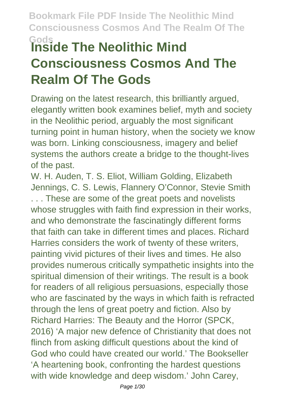# **Gods Inside The Neolithic Mind Consciousness Cosmos And The Realm Of The Gods**

Drawing on the latest research, this brilliantly argued, elegantly written book examines belief, myth and society in the Neolithic period, arguably the most significant turning point in human history, when the society we know was born. Linking consciousness, imagery and belief systems the authors create a bridge to the thought-lives of the past.

W. H. Auden, T. S. Eliot, William Golding, Elizabeth Jennings, C. S. Lewis, Flannery O'Connor, Stevie Smith . . . These are some of the great poets and novelists whose struggles with faith find expression in their works, and who demonstrate the fascinatingly different forms that faith can take in different times and places. Richard Harries considers the work of twenty of these writers, painting vivid pictures of their lives and times. He also provides numerous critically sympathetic insights into the spiritual dimension of their writings. The result is a book for readers of all religious persuasions, especially those who are fascinated by the ways in which faith is refracted through the lens of great poetry and fiction. Also by Richard Harries: The Beauty and the Horror (SPCK, 2016) 'A major new defence of Christianity that does not flinch from asking difficult questions about the kind of God who could have created our world.' The Bookseller 'A heartening book, confronting the hardest questions with wide knowledge and deep wisdom.' John Carey,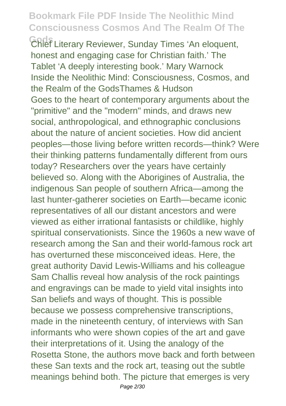**Gods** Chief Literary Reviewer, Sunday Times 'An eloquent, honest and engaging case for Christian faith.' The Tablet 'A deeply interesting book.' Mary Warnock Inside the Neolithic Mind: Consciousness, Cosmos, and the Realm of the GodsThames & Hudson Goes to the heart of contemporary arguments about the "primitive" and the "modern" minds, and draws new social, anthropological, and ethnographic conclusions about the nature of ancient societies. How did ancient peoples—those living before written records—think? Were their thinking patterns fundamentally different from ours today? Researchers over the years have certainly believed so. Along with the Aborigines of Australia, the indigenous San people of southern Africa—among the last hunter-gatherer societies on Earth—became iconic representatives of all our distant ancestors and were viewed as either irrational fantasists or childlike, highly spiritual conservationists. Since the 1960s a new wave of research among the San and their world-famous rock art has overturned these misconceived ideas. Here, the great authority David Lewis-Williams and his colleague Sam Challis reveal how analysis of the rock paintings and engravings can be made to yield vital insights into San beliefs and ways of thought. This is possible because we possess comprehensive transcriptions, made in the nineteenth century, of interviews with San informants who were shown copies of the art and gave their interpretations of it. Using the analogy of the Rosetta Stone, the authors move back and forth between these San texts and the rock art, teasing out the subtle meanings behind both. The picture that emerges is very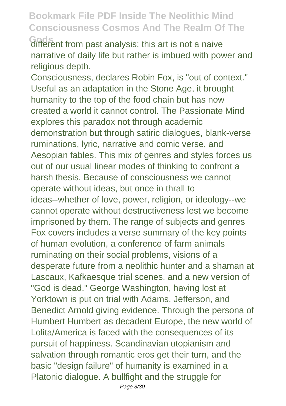Gods<br>different from past analysis: this art is not a naive narrative of daily life but rather is imbued with power and religious depth.

Consciousness, declares Robin Fox, is "out of context." Useful as an adaptation in the Stone Age, it brought humanity to the top of the food chain but has now created a world it cannot control. The Passionate Mind explores this paradox not through academic demonstration but through satiric dialogues, blank-verse ruminations, lyric, narrative and comic verse, and Aesopian fables. This mix of genres and styles forces us out of our usual linear modes of thinking to confront a harsh thesis. Because of consciousness we cannot operate without ideas, but once in thrall to ideas--whether of love, power, religion, or ideology--we cannot operate without destructiveness lest we become imprisoned by them. The range of subjects and genres Fox covers includes a verse summary of the key points of human evolution, a conference of farm animals ruminating on their social problems, visions of a desperate future from a neolithic hunter and a shaman at Lascaux, Kafkaesque trial scenes, and a new version of "God is dead." George Washington, having lost at Yorktown is put on trial with Adams, Jefferson, and Benedict Arnold giving evidence. Through the persona of Humbert Humbert as decadent Europe, the new world of Lolita/America is faced with the consequences of its pursuit of happiness. Scandinavian utopianism and salvation through romantic eros get their turn, and the basic "design failure" of humanity is examined in a Platonic dialogue. A bullfight and the struggle for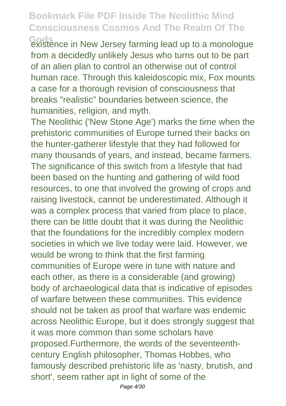Gods<br> **Gods**<br> **Gods Gods Cods Cods Cods Cods Cods Cods Cods Cods Cods Cods Cods Cods Cods Cods Cods Cods Cods Cods Cods Cods Cods Cods Cods Cods Cods Cods Cods Cods** from a decidedly unlikely Jesus who turns out to be part of an alien plan to control an otherwise out of control human race. Through this kaleidoscopic mix, Fox mounts a case for a thorough revision of consciousness that breaks "realistic" boundaries between science, the humanities, religion, and myth.

The Neolithic ('New Stone Age') marks the time when the prehistoric communities of Europe turned their backs on the hunter-gatherer lifestyle that they had followed for many thousands of years, and instead, became farmers. The significance of this switch from a lifestyle that had been based on the hunting and gathering of wild food resources, to one that involved the growing of crops and raising livestock, cannot be underestimated. Although it was a complex process that varied from place to place, there can be little doubt that it was during the Neolithic that the foundations for the incredibly complex modern societies in which we live today were laid. However, we would be wrong to think that the first farming communities of Europe were in tune with nature and each other, as there is a considerable (and growing) body of archaeological data that is indicative of episodes of warfare between these communities. This evidence should not be taken as proof that warfare was endemic across Neolithic Europe, but it does strongly suggest that it was more common than some scholars have proposed.Furthermore, the words of the seventeenthcentury English philosopher, Thomas Hobbes, who famously described prehistoric life as 'nasty, brutish, and short', seem rather apt in light of some of the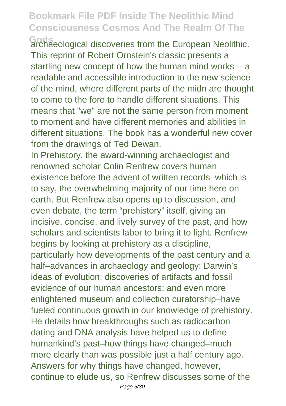Gods<br>archaeological discoveries from the European Neolithic. This reprint of Robert Ornstein's classic presents a startling new concept of how the human mind works -- a readable and accessible introduction to the new science of the mind, where different parts of the midn are thought to come to the fore to handle different situations. This means that "we" are not the same person from moment to moment and have different memories and abilities in different situations. The book has a wonderful new cover from the drawings of Ted Dewan.

In Prehistory, the award-winning archaeologist and renowned scholar Colin Renfrew covers human existence before the advent of written records–which is to say, the overwhelming majority of our time here on earth. But Renfrew also opens up to discussion, and even debate, the term "prehistory" itself, giving an incisive, concise, and lively survey of the past, and how scholars and scientists labor to bring it to light. Renfrew begins by looking at prehistory as a discipline, particularly how developments of the past century and a half–advances in archaeology and geology; Darwin's ideas of evolution; discoveries of artifacts and fossil evidence of our human ancestors; and even more enlightened museum and collection curatorship–have fueled continuous growth in our knowledge of prehistory. He details how breakthroughs such as radiocarbon dating and DNA analysis have helped us to define humankind's past–how things have changed–much more clearly than was possible just a half century ago. Answers for why things have changed, however, continue to elude us, so Renfrew discusses some of the Page 5/30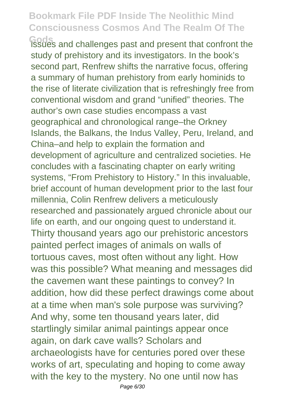**Gods** issues and challenges past and present that confront the study of prehistory and its investigators. In the book's second part, Renfrew shifts the narrative focus, offering a summary of human prehistory from early hominids to the rise of literate civilization that is refreshingly free from conventional wisdom and grand "unified" theories. The author's own case studies encompass a vast geographical and chronological range–the Orkney Islands, the Balkans, the Indus Valley, Peru, Ireland, and China–and help to explain the formation and development of agriculture and centralized societies. He concludes with a fascinating chapter on early writing systems, "From Prehistory to History." In this invaluable, brief account of human development prior to the last four millennia, Colin Renfrew delivers a meticulously researched and passionately argued chronicle about our life on earth, and our ongoing quest to understand it. Thirty thousand years ago our prehistoric ancestors painted perfect images of animals on walls of tortuous caves, most often without any light. How was this possible? What meaning and messages did the cavemen want these paintings to convey? In addition, how did these perfect drawings come about at a time when man's sole purpose was surviving? And why, some ten thousand years later, did startlingly similar animal paintings appear once again, on dark cave walls? Scholars and archaeologists have for centuries pored over these works of art, speculating and hoping to come away with the key to the mystery. No one until now has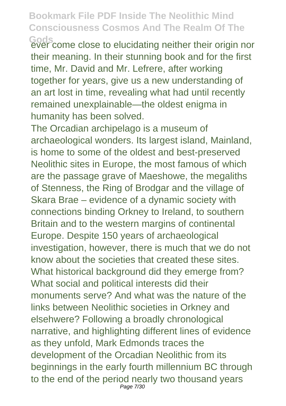Gods<br>ever come close to elucidating neither their origin nor their meaning. In their stunning book and for the first time, Mr. David and Mr. Lefrere, after working together for years, give us a new understanding of an art lost in time, revealing what had until recently remained unexplainable—the oldest enigma in humanity has been solved.

The Orcadian archipelago is a museum of archaeological wonders. Its largest island, Mainland, is home to some of the oldest and best-preserved Neolithic sites in Europe, the most famous of which are the passage grave of Maeshowe, the megaliths of Stenness, the Ring of Brodgar and the village of Skara Brae – evidence of a dynamic society with connections binding Orkney to Ireland, to southern Britain and to the western margins of continental Europe. Despite 150 years of archaeological investigation, however, there is much that we do not know about the societies that created these sites. What historical background did they emerge from? What social and political interests did their monuments serve? And what was the nature of the links between Neolithic societies in Orkney and elsehwere? Following a broadly chronological narrative, and highlighting different lines of evidence as they unfold, Mark Edmonds traces the development of the Orcadian Neolithic from its beginnings in the early fourth millennium BC through to the end of the period nearly two thousand years Page 7/30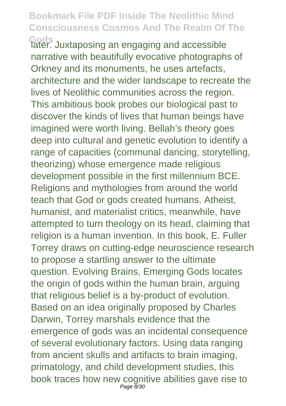**Gods** later. Juxtaposing an engaging and accessible narrative with beautifully evocative photographs of Orkney and its monuments, he uses artefacts, architecture and the wider landscape to recreate the lives of Neolithic communities across the region. This ambitious book probes our biological past to discover the kinds of lives that human beings have imagined were worth living. Bellah's theory goes deep into cultural and genetic evolution to identify a range of capacities (communal dancing, storytelling, theorizing) whose emergence made religious development possible in the first millennium BCE. Religions and mythologies from around the world teach that God or gods created humans. Atheist, humanist, and materialist critics, meanwhile, have attempted to turn theology on its head, claiming that religion is a human invention. In this book, E. Fuller Torrey draws on cutting-edge neuroscience research to propose a startling answer to the ultimate question. Evolving Brains, Emerging Gods locates the origin of gods within the human brain, arguing that religious belief is a by-product of evolution. Based on an idea originally proposed by Charles Darwin, Torrey marshals evidence that the emergence of gods was an incidental consequence of several evolutionary factors. Using data ranging from ancient skulls and artifacts to brain imaging, primatology, and child development studies, this book traces how new cognitive abilities gave rise to Page 8/30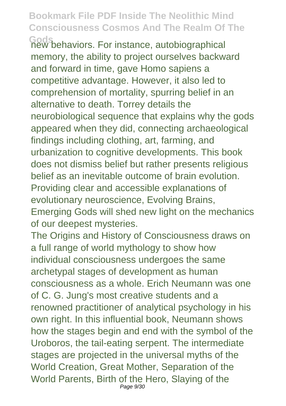**Gods** new behaviors. For instance, autobiographical memory, the ability to project ourselves backward and forward in time, gave Homo sapiens a competitive advantage. However, it also led to comprehension of mortality, spurring belief in an alternative to death. Torrey details the neurobiological sequence that explains why the gods appeared when they did, connecting archaeological findings including clothing, art, farming, and urbanization to cognitive developments. This book does not dismiss belief but rather presents religious belief as an inevitable outcome of brain evolution. Providing clear and accessible explanations of evolutionary neuroscience, Evolving Brains, Emerging Gods will shed new light on the mechanics of our deepest mysteries.

The Origins and History of Consciousness draws on a full range of world mythology to show how individual consciousness undergoes the same archetypal stages of development as human consciousness as a whole. Erich Neumann was one of C. G. Jung's most creative students and a renowned practitioner of analytical psychology in his own right. In this influential book, Neumann shows how the stages begin and end with the symbol of the Uroboros, the tail-eating serpent. The intermediate stages are projected in the universal myths of the World Creation, Great Mother, Separation of the World Parents, Birth of the Hero, Slaying of the Page 9/30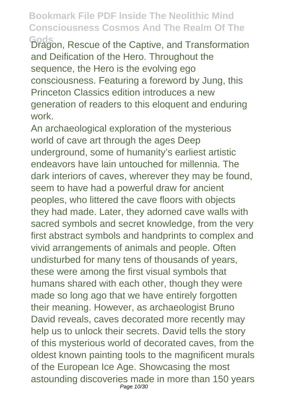**Gods** Dragon, Rescue of the Captive, and Transformation and Deification of the Hero. Throughout the sequence, the Hero is the evolving ego consciousness. Featuring a foreword by Jung, this Princeton Classics edition introduces a new generation of readers to this eloquent and enduring work.

An archaeological exploration of the mysterious world of cave art through the ages Deep underground, some of humanity's earliest artistic endeavors have lain untouched for millennia. The dark interiors of caves, wherever they may be found, seem to have had a powerful draw for ancient peoples, who littered the cave floors with objects they had made. Later, they adorned cave walls with sacred symbols and secret knowledge, from the very first abstract symbols and handprints to complex and vivid arrangements of animals and people. Often undisturbed for many tens of thousands of years, these were among the first visual symbols that humans shared with each other, though they were made so long ago that we have entirely forgotten their meaning. However, as archaeologist Bruno David reveals, caves decorated more recently may help us to unlock their secrets. David tells the story of this mysterious world of decorated caves, from the oldest known painting tools to the magnificent murals of the European Ice Age. Showcasing the most astounding discoveries made in more than 150 years Page 10/30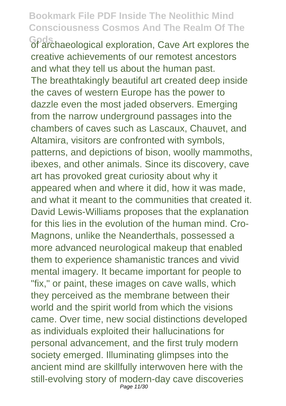**Gods** of archaeological exploration, Cave Art explores the creative achievements of our remotest ancestors and what they tell us about the human past. The breathtakingly beautiful art created deep inside the caves of western Europe has the power to dazzle even the most jaded observers. Emerging from the narrow underground passages into the chambers of caves such as Lascaux, Chauvet, and Altamira, visitors are confronted with symbols, patterns, and depictions of bison, woolly mammoths, ibexes, and other animals. Since its discovery, cave art has provoked great curiosity about why it appeared when and where it did, how it was made, and what it meant to the communities that created it. David Lewis-Williams proposes that the explanation for this lies in the evolution of the human mind. Cro-Magnons, unlike the Neanderthals, possessed a more advanced neurological makeup that enabled them to experience shamanistic trances and vivid mental imagery. It became important for people to "fix," or paint, these images on cave walls, which they perceived as the membrane between their world and the spirit world from which the visions came. Over time, new social distinctions developed as individuals exploited their hallucinations for personal advancement, and the first truly modern society emerged. Illuminating glimpses into the ancient mind are skillfully interwoven here with the still-evolving story of modern-day cave discoveries Page 11/30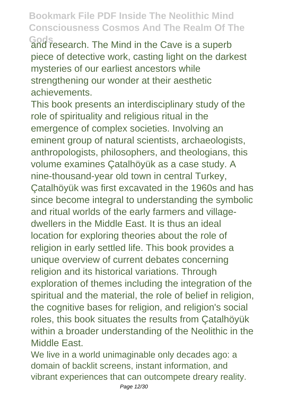**Gods** and research. The Mind in the Cave is a superb piece of detective work, casting light on the darkest mysteries of our earliest ancestors while strengthening our wonder at their aesthetic achievements.

This book presents an interdisciplinary study of the role of spirituality and religious ritual in the emergence of complex societies. Involving an eminent group of natural scientists, archaeologists, anthropologists, philosophers, and theologians, this volume examines Çatalhöyük as a case study. A nine-thousand-year old town in central Turkey, Çatalhöyük was first excavated in the 1960s and has since become integral to understanding the symbolic and ritual worlds of the early farmers and villagedwellers in the Middle East. It is thus an ideal location for exploring theories about the role of religion in early settled life. This book provides a unique overview of current debates concerning religion and its historical variations. Through exploration of themes including the integration of the spiritual and the material, the role of belief in religion, the cognitive bases for religion, and religion's social roles, this book situates the results from Çatalhöyük within a broader understanding of the Neolithic in the Middle East.

We live in a world unimaginable only decades ago: a domain of backlit screens, instant information, and vibrant experiences that can outcompete dreary reality.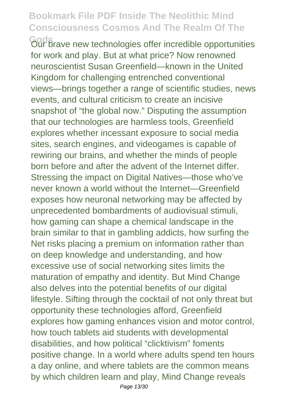**Gods** Frave new technologies offer incredible opportunities for work and play. But at what price? Now renowned neuroscientist Susan Greenfield—known in the United Kingdom for challenging entrenched conventional views—brings together a range of scientific studies, news events, and cultural criticism to create an incisive snapshot of "the global now." Disputing the assumption that our technologies are harmless tools, Greenfield explores whether incessant exposure to social media sites, search engines, and videogames is capable of rewiring our brains, and whether the minds of people born before and after the advent of the Internet differ. Stressing the impact on Digital Natives—those who've never known a world without the Internet—Greenfield exposes how neuronal networking may be affected by unprecedented bombardments of audiovisual stimuli, how gaming can shape a chemical landscape in the brain similar to that in gambling addicts, how surfing the Net risks placing a premium on information rather than on deep knowledge and understanding, and how excessive use of social networking sites limits the maturation of empathy and identity. But Mind Change also delves into the potential benefits of our digital lifestyle. Sifting through the cocktail of not only threat but opportunity these technologies afford, Greenfield explores how gaming enhances vision and motor control, how touch tablets aid students with developmental disabilities, and how political "clicktivism" foments positive change. In a world where adults spend ten hours a day online, and where tablets are the common means by which children learn and play, Mind Change reveals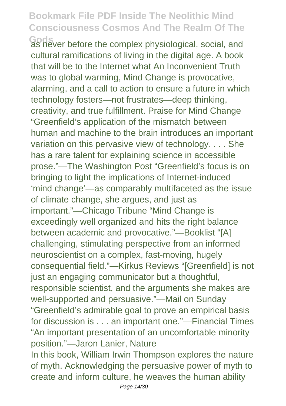**Gods** as never before the complex physiological, social, and cultural ramifications of living in the digital age. A book that will be to the Internet what An Inconvenient Truth was to global warming, Mind Change is provocative, alarming, and a call to action to ensure a future in which technology fosters—not frustrates—deep thinking, creativity, and true fulfillment. Praise for Mind Change "Greenfield's application of the mismatch between human and machine to the brain introduces an important variation on this pervasive view of technology. . . . She has a rare talent for explaining science in accessible prose."—The Washington Post "Greenfield's focus is on bringing to light the implications of Internet-induced 'mind change'—as comparably multifaceted as the issue of climate change, she argues, and just as important."—Chicago Tribune "Mind Change is exceedingly well organized and hits the right balance between academic and provocative."—Booklist "[A] challenging, stimulating perspective from an informed neuroscientist on a complex, fast-moving, hugely consequential field."—Kirkus Reviews "[Greenfield] is not just an engaging communicator but a thoughtful, responsible scientist, and the arguments she makes are well-supported and persuasive."—Mail on Sunday "Greenfield's admirable goal to prove an empirical basis for discussion is . . . an important one."—Financial Times "An important presentation of an uncomfortable minority position."—Jaron Lanier, Nature In this book, William Irwin Thompson explores the nature of myth. Acknowledging the persuasive power of myth to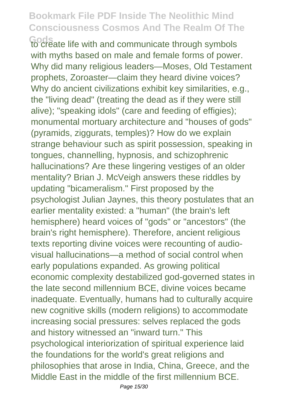Gods<br>to create life with and communicate through symbols with myths based on male and female forms of power. Why did many religious leaders—Moses, Old Testament prophets, Zoroaster—claim they heard divine voices? Why do ancient civilizations exhibit key similarities, e.g., the "living dead" (treating the dead as if they were still alive); "speaking idols" (care and feeding of effigies); monumental mortuary architecture and "houses of gods" (pyramids, ziggurats, temples)? How do we explain strange behaviour such as spirit possession, speaking in tongues, channelling, hypnosis, and schizophrenic hallucinations? Are these lingering vestiges of an older mentality? Brian J. McVeigh answers these riddles by updating "bicameralism." First proposed by the psychologist Julian Jaynes, this theory postulates that an earlier mentality existed: a "human" (the brain's left hemisphere) heard voices of "gods" or "ancestors" (the brain's right hemisphere). Therefore, ancient religious texts reporting divine voices were recounting of audiovisual hallucinations—a method of social control when early populations expanded. As growing political economic complexity destabilized god-governed states in the late second millennium BCE, divine voices became inadequate. Eventually, humans had to culturally acquire new cognitive skills (modern religions) to accommodate increasing social pressures: selves replaced the gods and history witnessed an "inward turn." This psychological interiorization of spiritual experience laid the foundations for the world's great religions and philosophies that arose in India, China, Greece, and the Middle East in the middle of the first millennium BCE.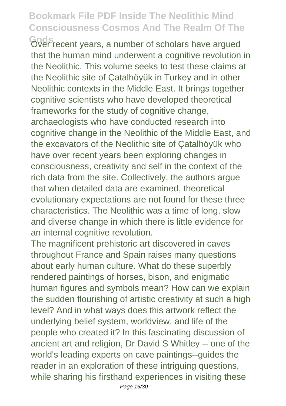Gods<br>
Gver recent years, a number of scholars have argued that the human mind underwent a cognitive revolution in the Neolithic. This volume seeks to test these claims at the Neolithic site of Çatalhöyük in Turkey and in other Neolithic contexts in the Middle East. It brings together cognitive scientists who have developed theoretical frameworks for the study of cognitive change, archaeologists who have conducted research into cognitive change in the Neolithic of the Middle East, and the excavators of the Neolithic site of Çatalhöyük who have over recent years been exploring changes in consciousness, creativity and self in the context of the rich data from the site. Collectively, the authors argue that when detailed data are examined, theoretical evolutionary expectations are not found for these three characteristics. The Neolithic was a time of long, slow and diverse change in which there is little evidence for an internal cognitive revolution.

The magnificent prehistoric art discovered in caves throughout France and Spain raises many questions about early human culture. What do these superbly rendered paintings of horses, bison, and enigmatic human figures and symbols mean? How can we explain the sudden flourishing of artistic creativity at such a high level? And in what ways does this artwork reflect the underlying belief system, worldview, and life of the people who created it? In this fascinating discussion of ancient art and religion, Dr David S Whitley -- one of the world's leading experts on cave paintings--guides the reader in an exploration of these intriguing questions, while sharing his firsthand experiences in visiting these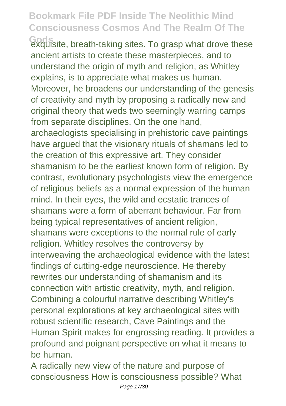Gods<br>
exquisite, breath-taking sites. To grasp what drove these ancient artists to create these masterpieces, and to understand the origin of myth and religion, as Whitley explains, is to appreciate what makes us human. Moreover, he broadens our understanding of the genesis of creativity and myth by proposing a radically new and original theory that weds two seemingly warring camps from separate disciplines. On the one hand, archaeologists specialising in prehistoric cave paintings have argued that the visionary rituals of shamans led to the creation of this expressive art. They consider shamanism to be the earliest known form of religion. By contrast, evolutionary psychologists view the emergence of religious beliefs as a normal expression of the human mind. In their eyes, the wild and ecstatic trances of shamans were a form of aberrant behaviour. Far from being typical representatives of ancient religion. shamans were exceptions to the normal rule of early religion. Whitley resolves the controversy by interweaving the archaeological evidence with the latest findings of cutting-edge neuroscience. He thereby rewrites our understanding of shamanism and its connection with artistic creativity, myth, and religion. Combining a colourful narrative describing Whitley's personal explorations at key archaeological sites with robust scientific research, Cave Paintings and the Human Spirit makes for engrossing reading. It provides a profound and poignant perspective on what it means to be human.

A radically new view of the nature and purpose of consciousness How is consciousness possible? What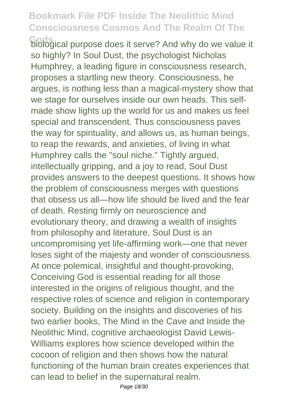**Gods** biological purpose does it serve? And why do we value it so highly? In Soul Dust, the psychologist Nicholas Humphrey, a leading figure in consciousness research, proposes a startling new theory. Consciousness, he argues, is nothing less than a magical-mystery show that we stage for ourselves inside our own heads. This selfmade show lights up the world for us and makes us feel special and transcendent. Thus consciousness paves the way for spirituality, and allows us, as human beings, to reap the rewards, and anxieties, of living in what Humphrey calls the "soul niche." Tightly argued, intellectually gripping, and a joy to read, Soul Dust provides answers to the deepest questions. It shows how the problem of consciousness merges with questions that obsess us all—how life should be lived and the fear of death. Resting firmly on neuroscience and evolutionary theory, and drawing a wealth of insights from philosophy and literature, Soul Dust is an uncompromising yet life-affirming work—one that never loses sight of the majesty and wonder of consciousness. At once polemical, insightful and thought-provoking, Conceiving God is essential reading for all those interested in the origins of religious thought, and the respective roles of science and religion in contemporary society. Building on the insights and discoveries of his two earlier books, The Mind in the Cave and Inside the Neolithic Mind, cognitive archaeologist David Lewis-Williams explores how science developed within the cocoon of religion and then shows how the natural functioning of the human brain creates experiences that can lead to belief in the supernatural realm.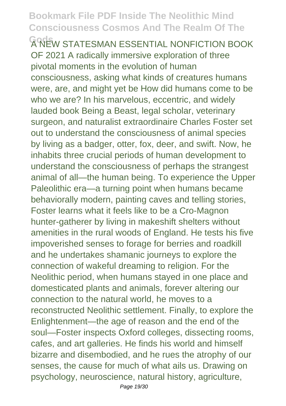**A NEW STATESMAN ESSENTIAL NONFICTION BOOK** OF 2021 A radically immersive exploration of three pivotal moments in the evolution of human consciousness, asking what kinds of creatures humans were, are, and might yet be How did humans come to be who we are? In his marvelous, eccentric, and widely lauded book Being a Beast, legal scholar, veterinary surgeon, and naturalist extraordinaire Charles Foster set out to understand the consciousness of animal species by living as a badger, otter, fox, deer, and swift. Now, he inhabits three crucial periods of human development to understand the consciousness of perhaps the strangest animal of all—the human being. To experience the Upper Paleolithic era—a turning point when humans became behaviorally modern, painting caves and telling stories, Foster learns what it feels like to be a Cro-Magnon hunter-gatherer by living in makeshift shelters without amenities in the rural woods of England. He tests his five impoverished senses to forage for berries and roadkill and he undertakes shamanic journeys to explore the connection of wakeful dreaming to religion. For the Neolithic period, when humans stayed in one place and domesticated plants and animals, forever altering our connection to the natural world, he moves to a reconstructed Neolithic settlement. Finally, to explore the Enlightenment—the age of reason and the end of the soul—Foster inspects Oxford colleges, dissecting rooms, cafes, and art galleries. He finds his world and himself bizarre and disembodied, and he rues the atrophy of our senses, the cause for much of what ails us. Drawing on psychology, neuroscience, natural history, agriculture,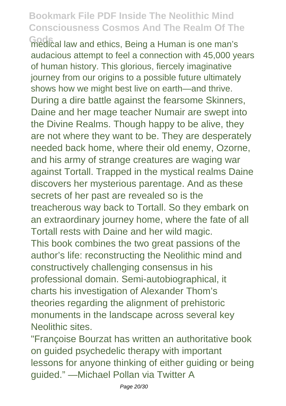**Gods** medical law and ethics, Being a Human is one man's audacious attempt to feel a connection with 45,000 years of human history. This glorious, fiercely imaginative journey from our origins to a possible future ultimately shows how we might best live on earth—and thrive. During a dire battle against the fearsome Skinners, Daine and her mage teacher Numair are swept into the Divine Realms. Though happy to be alive, they are not where they want to be. They are desperately needed back home, where their old enemy, Ozorne, and his army of strange creatures are waging war against Tortall. Trapped in the mystical realms Daine discovers her mysterious parentage. And as these secrets of her past are revealed so is the treacherous way back to Tortall. So they embark on an extraordinary journey home, where the fate of all Tortall rests with Daine and her wild magic. This book combines the two great passions of the author's life: reconstructing the Neolithic mind and constructively challenging consensus in his professional domain. Semi-autobiographical, it charts his investigation of Alexander Thom's theories regarding the alignment of prehistoric monuments in the landscape across several key Neolithic sites.

"Françoise Bourzat has written an authoritative book on guided psychedelic therapy with important lessons for anyone thinking of either guiding or being guided." —Michael Pollan via Twitter A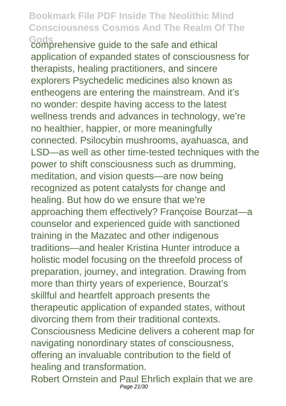**Gods** comprehensive guide to the safe and ethical application of expanded states of consciousness for therapists, healing practitioners, and sincere explorers Psychedelic medicines also known as entheogens are entering the mainstream. And it's no wonder: despite having access to the latest wellness trends and advances in technology, we're no healthier, happier, or more meaningfully connected. Psilocybin mushrooms, ayahuasca, and LSD—as well as other time-tested techniques with the power to shift consciousness such as drumming, meditation, and vision quests—are now being recognized as potent catalysts for change and healing. But how do we ensure that we're approaching them effectively? Françoise Bourzat—a counselor and experienced guide with sanctioned training in the Mazatec and other indigenous traditions—and healer Kristina Hunter introduce a holistic model focusing on the threefold process of preparation, journey, and integration. Drawing from more than thirty years of experience, Bourzat's skillful and heartfelt approach presents the therapeutic application of expanded states, without divorcing them from their traditional contexts. Consciousness Medicine delivers a coherent map for navigating nonordinary states of consciousness, offering an invaluable contribution to the field of healing and transformation.

Robert Ornstein and Paul Ehrlich explain that we are Page 21/30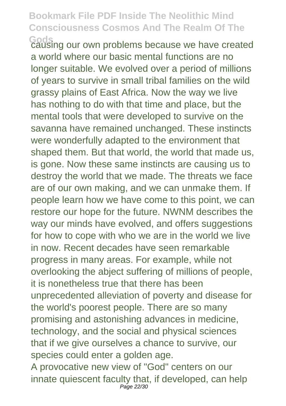**Gods** causing our own problems because we have created a world where our basic mental functions are no longer suitable. We evolved over a period of millions of years to survive in small tribal families on the wild grassy plains of East Africa. Now the way we live has nothing to do with that time and place, but the mental tools that were developed to survive on the savanna have remained unchanged. These instincts were wonderfully adapted to the environment that shaped them. But that world, the world that made us, is gone. Now these same instincts are causing us to destroy the world that we made. The threats we face are of our own making, and we can unmake them. If people learn how we have come to this point, we can restore our hope for the future. NWNM describes the way our minds have evolved, and offers suggestions for how to cope with who we are in the world we live in now. Recent decades have seen remarkable progress in many areas. For example, while not overlooking the abject suffering of millions of people, it is nonetheless true that there has been unprecedented alleviation of poverty and disease for the world's poorest people. There are so many promising and astonishing advances in medicine, technology, and the social and physical sciences that if we give ourselves a chance to survive, our species could enter a golden age. A provocative new view of "God" centers on our

innate quiescent faculty that, if developed, can help Page 22/30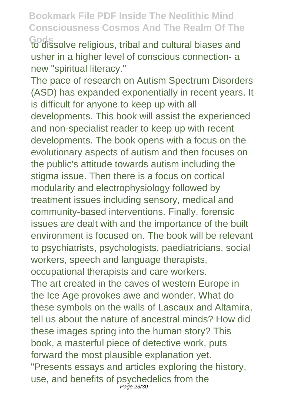**Gods** to dissolve religious, tribal and cultural biases and usher in a higher level of conscious connection- a new "spiritual literacy."

The pace of research on Autism Spectrum Disorders (ASD) has expanded exponentially in recent years. It is difficult for anyone to keep up with all developments. This book will assist the experienced and non-specialist reader to keep up with recent developments. The book opens with a focus on the evolutionary aspects of autism and then focuses on the public's attitude towards autism including the stigma issue. Then there is a focus on cortical modularity and electrophysiology followed by treatment issues including sensory, medical and community-based interventions. Finally, forensic issues are dealt with and the importance of the built environment is focused on. The book will be relevant to psychiatrists, psychologists, paediatricians, social workers, speech and language therapists, occupational therapists and care workers.

The art created in the caves of western Europe in the Ice Age provokes awe and wonder. What do these symbols on the walls of Lascaux and Altamira, tell us about the nature of ancestral minds? How did these images spring into the human story? This book, a masterful piece of detective work, puts forward the most plausible explanation yet. "Presents essays and articles exploring the history, use, and benefits of psychedelics from the Page 23/30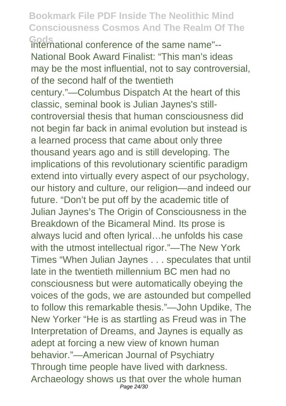**Gods** international conference of the same name"-- National Book Award Finalist: "This man's ideas may be the most influential, not to say controversial, of the second half of the twentieth century."—Columbus Dispatch At the heart of this classic, seminal book is Julian Jaynes's stillcontroversial thesis that human consciousness did not begin far back in animal evolution but instead is a learned process that came about only three thousand years ago and is still developing. The implications of this revolutionary scientific paradigm extend into virtually every aspect of our psychology, our history and culture, our religion—and indeed our future. "Don't be put off by the academic title of Julian Jaynes's The Origin of Consciousness in the Breakdown of the Bicameral Mind. Its prose is always lucid and often lyrical…he unfolds his case with the utmost intellectual rigor."—The New York Times "When Julian Jaynes . . . speculates that until late in the twentieth millennium BC men had no consciousness but were automatically obeying the voices of the gods, we are astounded but compelled to follow this remarkable thesis."—John Updike, The New Yorker "He is as startling as Freud was in The Interpretation of Dreams, and Jaynes is equally as adept at forcing a new view of known human behavior."—American Journal of Psychiatry Through time people have lived with darkness. Archaeology shows us that over the whole human Page 24/30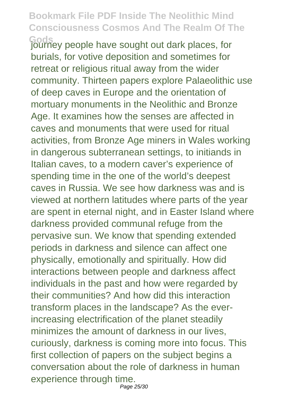**Gods** journey people have sought out dark places, for burials, for votive deposition and sometimes for retreat or religious ritual away from the wider community. Thirteen papers explore Palaeolithic use of deep caves in Europe and the orientation of mortuary monuments in the Neolithic and Bronze Age. It examines how the senses are affected in caves and monuments that were used for ritual activities, from Bronze Age miners in Wales working in dangerous subterranean settings, to initiands in Italian caves, to a modern caver's experience of spending time in the one of the world's deepest caves in Russia. We see how darkness was and is viewed at northern latitudes where parts of the year are spent in eternal night, and in Easter Island where darkness provided communal refuge from the pervasive sun. We know that spending extended periods in darkness and silence can affect one physically, emotionally and spiritually. How did interactions between people and darkness affect individuals in the past and how were regarded by their communities? And how did this interaction transform places in the landscape? As the everincreasing electrification of the planet steadily minimizes the amount of darkness in our lives, curiously, darkness is coming more into focus. This first collection of papers on the subject begins a conversation about the role of darkness in human experience through time. Page 25/30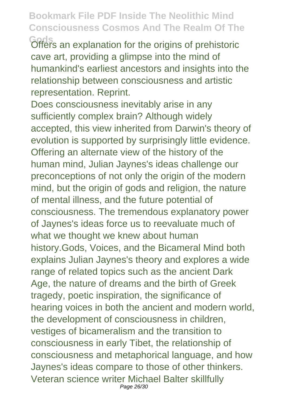**Gods** Offers an explanation for the origins of prehistoric cave art, providing a glimpse into the mind of humankind's earliest ancestors and insights into the relationship between consciousness and artistic representation. Reprint.

Does consciousness inevitably arise in any sufficiently complex brain? Although widely accepted, this view inherited from Darwin's theory of evolution is supported by surprisingly little evidence. Offering an alternate view of the history of the human mind, Julian Jaynes's ideas challenge our preconceptions of not only the origin of the modern mind, but the origin of gods and religion, the nature of mental illness, and the future potential of consciousness. The tremendous explanatory power of Jaynes's ideas force us to reevaluate much of what we thought we knew about human history.Gods, Voices, and the Bicameral Mind both explains Julian Jaynes's theory and explores a wide range of related topics such as the ancient Dark Age, the nature of dreams and the birth of Greek tragedy, poetic inspiration, the significance of hearing voices in both the ancient and modern world, the development of consciousness in children, vestiges of bicameralism and the transition to consciousness in early Tibet, the relationship of consciousness and metaphorical language, and how Jaynes's ideas compare to those of other thinkers. Veteran science writer Michael Balter skillfully Page 26/30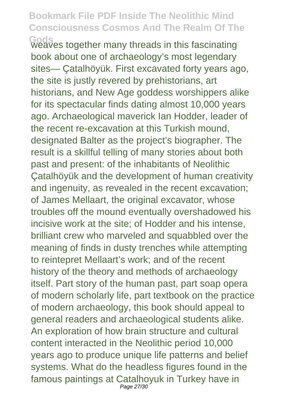**Gods** weaves together many threads in this fascinating book about one of archaeology's most legendary sites— Çatalhöyük. First excavated forty years ago, the site is justly revered by prehistorians, art historians, and New Age goddess worshippers alike for its spectacular finds dating almost 10,000 years ago. Archaeological maverick Ian Hodder, leader of the recent re-excavation at this Turkish mound, designated Balter as the project's biographer. The result is a skillful telling of many stories about both past and present: of the inhabitants of Neolithic Çatalhöyük and the development of human creativity and ingenuity, as revealed in the recent excavation; of James Mellaart, the original excavator, whose troubles off the mound eventually overshadowed his incisive work at the site; of Hodder and his intense, brilliant crew who marveled and squabbled over the meaning of finds in dusty trenches while attempting to reintepret Mellaart's work; and of the recent history of the theory and methods of archaeology itself. Part story of the human past, part soap opera of modern scholarly life, part textbook on the practice of modern archaeology, this book should appeal to general readers and archaeological students alike. An exploration of how brain structure and cultural content interacted in the Neolithic period 10,000 years ago to produce unique life patterns and belief systems. What do the headless figures found in the famous paintings at Catalhoyuk in Turkey have in Page 27/30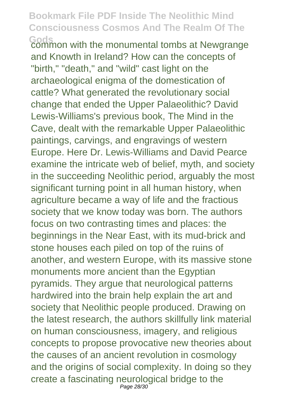**Gods** common with the monumental tombs at Newgrange and Knowth in Ireland? How can the concepts of "birth," "death," and "wild" cast light on the archaeological enigma of the domestication of cattle? What generated the revolutionary social change that ended the Upper Palaeolithic? David Lewis-Williams's previous book, The Mind in the Cave, dealt with the remarkable Upper Palaeolithic paintings, carvings, and engravings of western Europe. Here Dr. Lewis-Williams and David Pearce examine the intricate web of belief, myth, and society in the succeeding Neolithic period, arguably the most significant turning point in all human history, when agriculture became a way of life and the fractious society that we know today was born. The authors focus on two contrasting times and places: the beginnings in the Near East, with its mud-brick and stone houses each piled on top of the ruins of another, and western Europe, with its massive stone monuments more ancient than the Egyptian pyramids. They argue that neurological patterns hardwired into the brain help explain the art and society that Neolithic people produced. Drawing on the latest research, the authors skillfully link material on human consciousness, imagery, and religious concepts to propose provocative new theories about the causes of an ancient revolution in cosmology and the origins of social complexity. In doing so they create a fascinating neurological bridge to the Page 28/30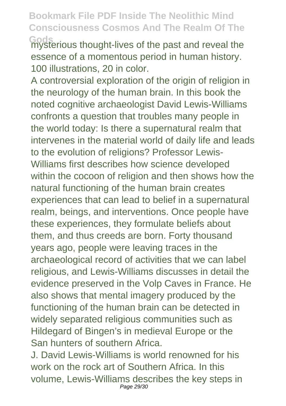**Gods** mysterious thought-lives of the past and reveal the essence of a momentous period in human history. 100 illustrations, 20 in color.

A controversial exploration of the origin of religion in the neurology of the human brain. In this book the noted cognitive archaeologist David Lewis-Williams confronts a question that troubles many people in the world today: Is there a supernatural realm that intervenes in the material world of daily life and leads to the evolution of religions? Professor Lewis-Williams first describes how science developed within the cocoon of religion and then shows how the natural functioning of the human brain creates experiences that can lead to belief in a supernatural realm, beings, and interventions. Once people have these experiences, they formulate beliefs about them, and thus creeds are born. Forty thousand years ago, people were leaving traces in the archaeological record of activities that we can label religious, and Lewis-Williams discusses in detail the evidence preserved in the Volp Caves in France. He also shows that mental imagery produced by the functioning of the human brain can be detected in widely separated religious communities such as Hildegard of Bingen's in medieval Europe or the San hunters of southern Africa.

J. David Lewis-Williams is world renowned for his work on the rock art of Southern Africa. In this volume, Lewis-Williams describes the key steps in Page 29/30